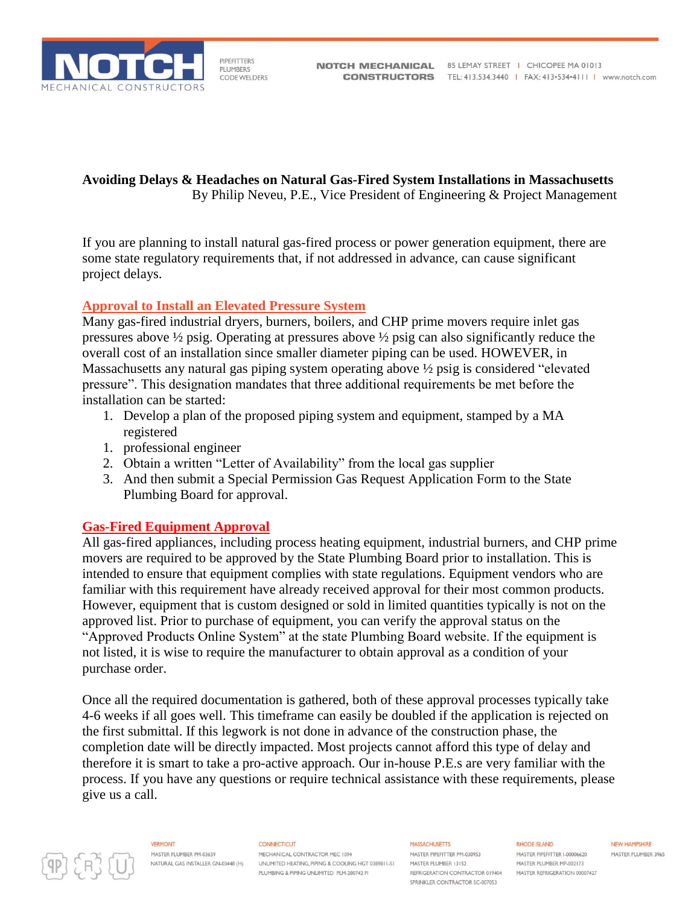

PIPEFITTERS **PLUMBERS CODE WELDERS** 

**Avoiding Delays & Headaches on Natural Gas-Fired System Installations in Massachusetts** By Philip Neveu, P.E., Vice President of Engineering & Project Management

If you are planning to install natural gas-fired process or power generation equipment, there are some state regulatory requirements that, if not addressed in advance, can cause significant project delays.

# **Approval to Install an Elevated Pressure System**

Many gas-fired industrial dryers, burners, boilers, and CHP prime movers require inlet gas pressures above ½ psig. Operating at pressures above ½ psig can also significantly reduce the overall cost of an installation since smaller diameter piping can be used. HOWEVER, in Massachusetts any natural gas piping system operating above ½ psig is considered "elevated pressure". This designation mandates that three additional requirements be met before the installation can be started:

- 1. Develop a plan of the proposed piping system and equipment, stamped by a MA registered
- 1. professional engineer
- 2. Obtain a written "Letter of Availability" from the local gas supplier
- 3. And then submit a Special Permission Gas Request Application Form to the State Plumbing Board for approval.

# **Gas-Fired Equipment Approval**

All gas-fired appliances, including process heating equipment, industrial burners, and CHP prime movers are required to be approved by the State Plumbing Board prior to installation. This is intended to ensure that equipment complies with state regulations. Equipment vendors who are familiar with this requirement have already received approval for their most common products. However, equipment that is custom designed or sold in limited quantities typically is not on the approved list. Prior to purchase of equipment, you can verify the approval status on the "Approved Products Online System" at the state Plumbing Board website. If the equipment is not listed, it is wise to require the manufacturer to obtain approval as a condition of your purchase order.

Once all the required documentation is gathered, both of these approval processes typically take 4-6 weeks if all goes well. This timeframe can easily be doubled if the application is rejected on the first submittal. If this legwork is not done in advance of the construction phase, the completion date will be directly impacted. Most projects cannot afford this type of delay and therefore it is smart to take a pro-active approach. Our in-house P.E.s are very familiar with the process. If you have any questions or require technical assistance with these requirements, please give us a call.



**VERMONT** MASTER PLUMBER PM-03659 NATURAL GAS INSTALLER GN-03448 (H)

**CONNECTICUT** MECHANICAL CONTRACTOR MEC 1094 UNLIMITED HEATING, PIPING & COOLING HGT 0389811-S1 PLUMBING & PIPING UNLIMITED PLM-280742 PI

**MASSACHLISETTS** MASTER PIPEEITTER PM-030953 MASTER PLUMBER 13152 REFRIGERATION CONTRACTOR 019404 SPRINKLER CONTRACTOR SC-007053

**RHODE ISLAND** MASTER PIPERITTER 1-00006620 MASTER PLUMBER MP-002173 MASTER REFRIGERATION 00007427 **NFW HAMPSHIRE** MASTER PLUMBER 3965